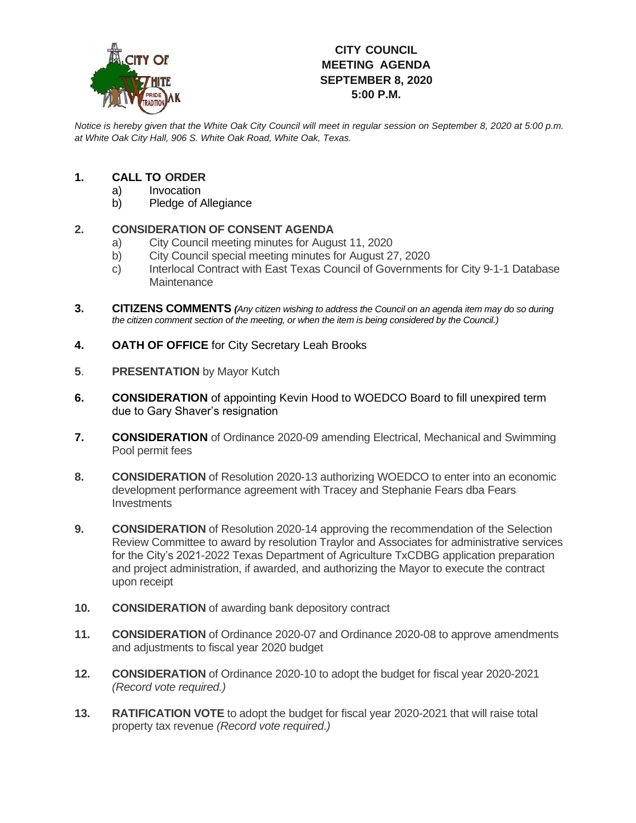

# **CITY COUNCIL MEETING AGENDA SEPTEMBER 8, 2020 5:00 P.M.**

*Notice is hereby given that the White Oak City Council will meet in regular session on September 8, 2020 at 5:00 p.m. at White Oak City Hall, 906 S. White Oak Road, White Oak, Texas.*

### **1. CALL TO ORDER**

- a) Invocation
- b) Pledge of Allegiance

## **2. CONSIDERATION OF CONSENT AGENDA**

- a) City Council meeting minutes for August 11, 2020
- b) City Council special meeting minutes for August 27, 2020
- c) Interlocal Contract with East Texas Council of Governments for City 9-1-1 Database **Maintenance**
- **3. CITIZENS COMMENTS** *(Any citizen wishing to address the Council on an agenda item may do so during the citizen comment section of the meeting, or when the item is being considered by the Council.)*
- **4. OATH OF OFFICE** for City Secretary Leah Brooks
- **5**. **PRESENTATION** by Mayor Kutch
- **6. CONSIDERATION** of appointing Kevin Hood to WOEDCO Board to fill unexpired term due to Gary Shaver's resignation
- **7. CONSIDERATION** of Ordinance 2020-09 amending Electrical, Mechanical and Swimming Pool permit fees
- **8. CONSIDERATION** of Resolution 2020-13 authorizing WOEDCO to enter into an economic development performance agreement with Tracey and Stephanie Fears dba Fears **Investments**
- **9. CONSIDERATION** of Resolution 2020-14 approving the recommendation of the Selection Review Committee to award by resolution Traylor and Associates for administrative services for the City's 2021-2022 Texas Department of Agriculture TxCDBG application preparation and project administration, if awarded, and authorizing the Mayor to execute the contract upon receipt
- **10. CONSIDERATION** of awarding bank depository contract
- **11. CONSIDERATION** of Ordinance 2020-07 and Ordinance 2020-08 to approve amendments and adjustments to fiscal year 2020 budget
- **12. CONSIDERATION** of Ordinance 2020-10 to adopt the budget for fiscal year 2020-2021 *(Record vote required.)*
- **13. RATIFICATION VOTE** to adopt the budget for fiscal year 2020-2021 that will raise total property tax revenue *(Record vote required.)*